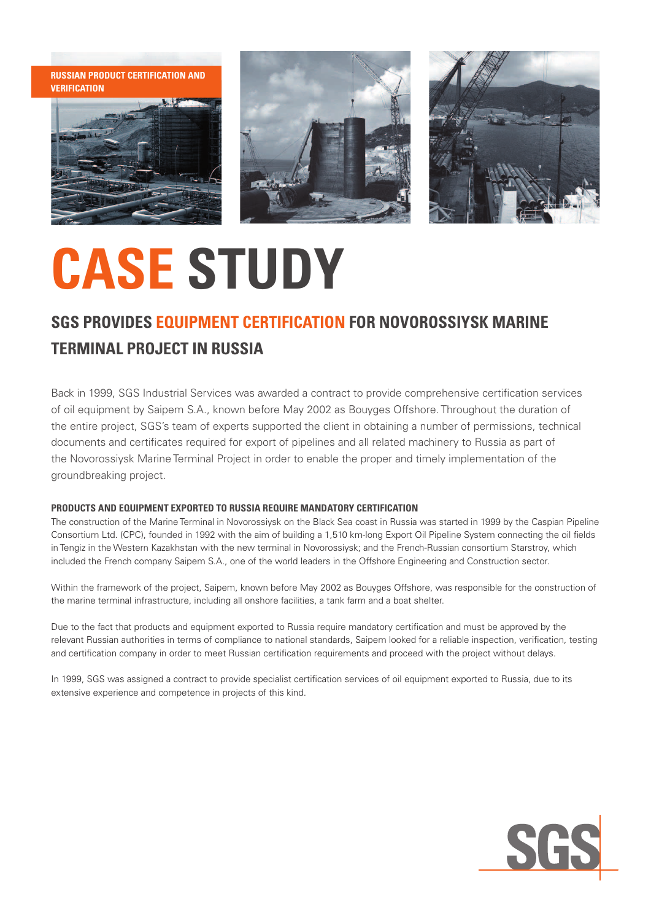**Russian Product Certification and Verification**







# **CASE STUDY**

### **SGS Provides Equipment Certification for Novorossiysk Marine Terminal Project in Russia**

Back in 1999, SGS Industrial Services was awarded a contract to provide comprehensive certification services of oil equipment by Saipem S.A., known before May 2002 as Bouyges Offshore. Throughout the duration of the entire project, SGS's team of experts supported the client in obtaining a number of permissions, technical documents and certificates required for export of pipelines and all related machinery to Russia as part of the Novorossiysk Marine Terminal Project in order to enable the proper and timely implementation of the groundbreaking project.

### **Products and Equipment Exported to Russia Require Mandatory Certification**

The construction of the Marine Terminal in Novorossiysk on the Black Sea coast in Russia was started in 1999 by the Caspian Pipeline Consortium Ltd. (CPC), founded in 1992 with the aim of building a 1,510 km-long Export Oil Pipeline System connecting the oil fields in Tengiz in the Western Kazakhstan with the new terminal in Novorossiysk; and the French-Russian consortium Starstroy, which included the French company Saipem S.A., one of the world leaders in the Offshore Engineering and Construction sector.

Within the framework of the project, Saipem, known before May 2002 as Bouyges Offshore, was responsible for the construction of the marine terminal infrastructure, including all onshore facilities, a tank farm and a boat shelter.

Due to the fact that products and equipment exported to Russia require mandatory certification and must be approved by the relevant Russian authorities in terms of compliance to national standards, Saipem looked for a reliable inspection, verification, testing and certification company in order to meet Russian certification requirements and proceed with the project without delays.

In 1999, SGS was assigned a contract to provide specialist certification services of oil equipment exported to Russia, due to its extensive experience and competence in projects of this kind.